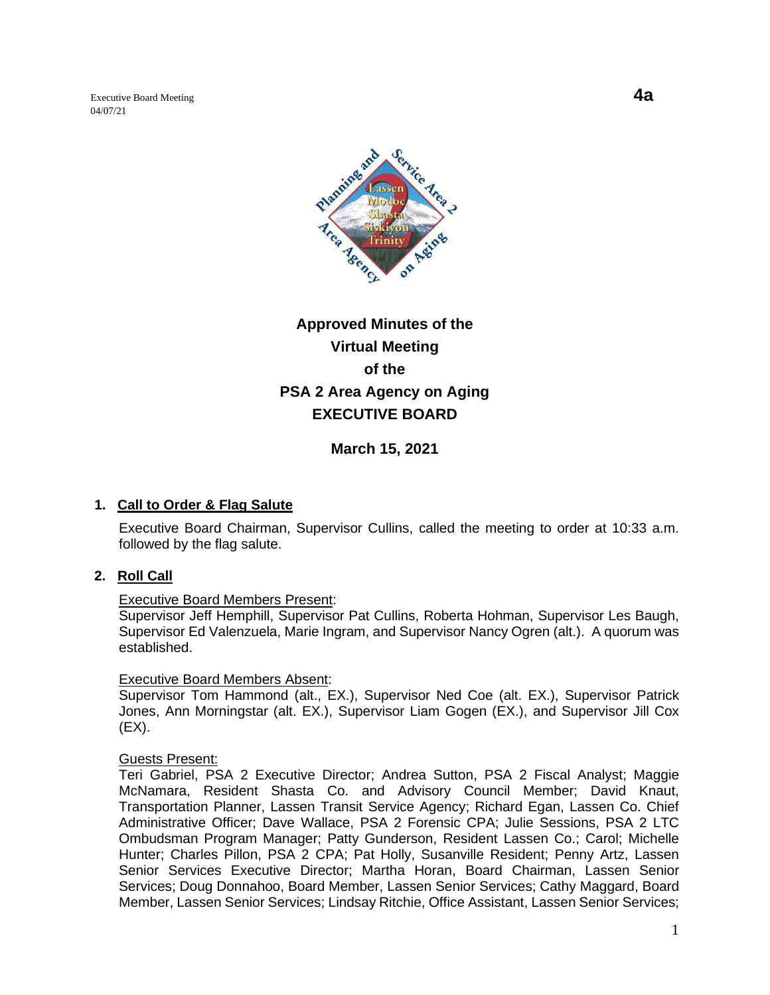Executive Board Meeting **4a** 04/07/21



# **Approved Minutes of the Virtual Meeting of the PSA 2 Area Agency on Aging EXECUTIVE BOARD**

**March 15, 2021**

## **1. Call to Order & Flag Salute**

Executive Board Chairman, Supervisor Cullins, called the meeting to order at 10:33 a.m. followed by the flag salute.

#### **2. Roll Call**

#### Executive Board Members Present:

Supervisor Jeff Hemphill, Supervisor Pat Cullins, Roberta Hohman, Supervisor Les Baugh, Supervisor Ed Valenzuela, Marie Ingram, and Supervisor Nancy Ogren (alt.). A quorum was established.

#### Executive Board Members Absent:

Supervisor Tom Hammond (alt., EX.), Supervisor Ned Coe (alt. EX.), Supervisor Patrick Jones, Ann Morningstar (alt. EX.), Supervisor Liam Gogen (EX.), and Supervisor Jill Cox  $(EX).$ 

#### Guests Present:

Teri Gabriel, PSA 2 Executive Director; Andrea Sutton, PSA 2 Fiscal Analyst; Maggie McNamara, Resident Shasta Co. and Advisory Council Member; David Knaut, Transportation Planner, Lassen Transit Service Agency; Richard Egan, Lassen Co. Chief Administrative Officer; Dave Wallace, PSA 2 Forensic CPA; Julie Sessions, PSA 2 LTC Ombudsman Program Manager; Patty Gunderson, Resident Lassen Co.; Carol; Michelle Hunter; Charles Pillon, PSA 2 CPA; Pat Holly, Susanville Resident; Penny Artz, Lassen Senior Services Executive Director; Martha Horan, Board Chairman, Lassen Senior Services; Doug Donnahoo, Board Member, Lassen Senior Services; Cathy Maggard, Board Member, Lassen Senior Services; Lindsay Ritchie, Office Assistant, Lassen Senior Services;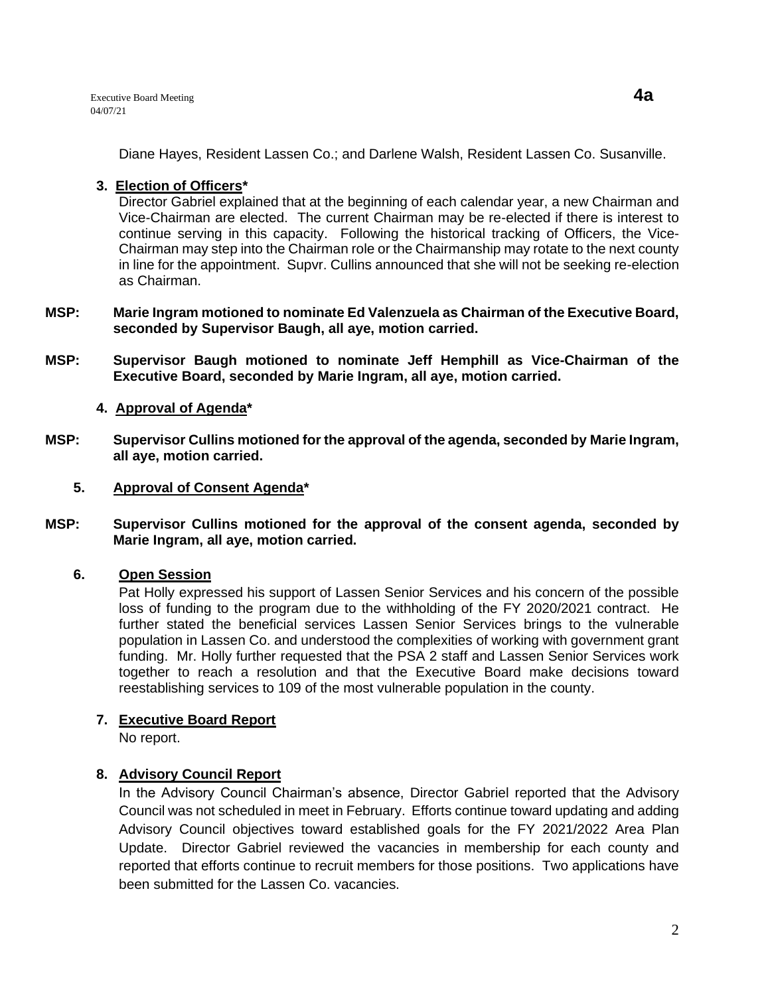Diane Hayes, Resident Lassen Co.; and Darlene Walsh, Resident Lassen Co. Susanville.

# **3. Election of Officers\***

Director Gabriel explained that at the beginning of each calendar year, a new Chairman and Vice-Chairman are elected. The current Chairman may be re-elected if there is interest to continue serving in this capacity. Following the historical tracking of Officers, the Vice-Chairman may step into the Chairman role or the Chairmanship may rotate to the next county in line for the appointment. Supvr. Cullins announced that she will not be seeking re-election as Chairman.

- **MSP: Marie Ingram motioned to nominate Ed Valenzuela as Chairman of the Executive Board, seconded by Supervisor Baugh, all aye, motion carried.**
- **MSP: Supervisor Baugh motioned to nominate Jeff Hemphill as Vice-Chairman of the Executive Board, seconded by Marie Ingram, all aye, motion carried.**

## **4. Approval of Agenda\***

- **MSP: Supervisor Cullins motioned for the approval of the agenda, seconded by Marie Ingram, all aye, motion carried.** 
	- **5. Approval of Consent Agenda\***
- **MSP: Supervisor Cullins motioned for the approval of the consent agenda, seconded by Marie Ingram, all aye, motion carried.**

## **6. Open Session**

Pat Holly expressed his support of Lassen Senior Services and his concern of the possible loss of funding to the program due to the withholding of the FY 2020/2021 contract. He further stated the beneficial services Lassen Senior Services brings to the vulnerable population in Lassen Co. and understood the complexities of working with government grant funding. Mr. Holly further requested that the PSA 2 staff and Lassen Senior Services work together to reach a resolution and that the Executive Board make decisions toward reestablishing services to 109 of the most vulnerable population in the county.

## **7. Executive Board Report**

No report.

## **8. Advisory Council Report**

In the Advisory Council Chairman's absence, Director Gabriel reported that the Advisory Council was not scheduled in meet in February. Efforts continue toward updating and adding Advisory Council objectives toward established goals for the FY 2021/2022 Area Plan Update. Director Gabriel reviewed the vacancies in membership for each county and reported that efforts continue to recruit members for those positions. Two applications have been submitted for the Lassen Co. vacancies.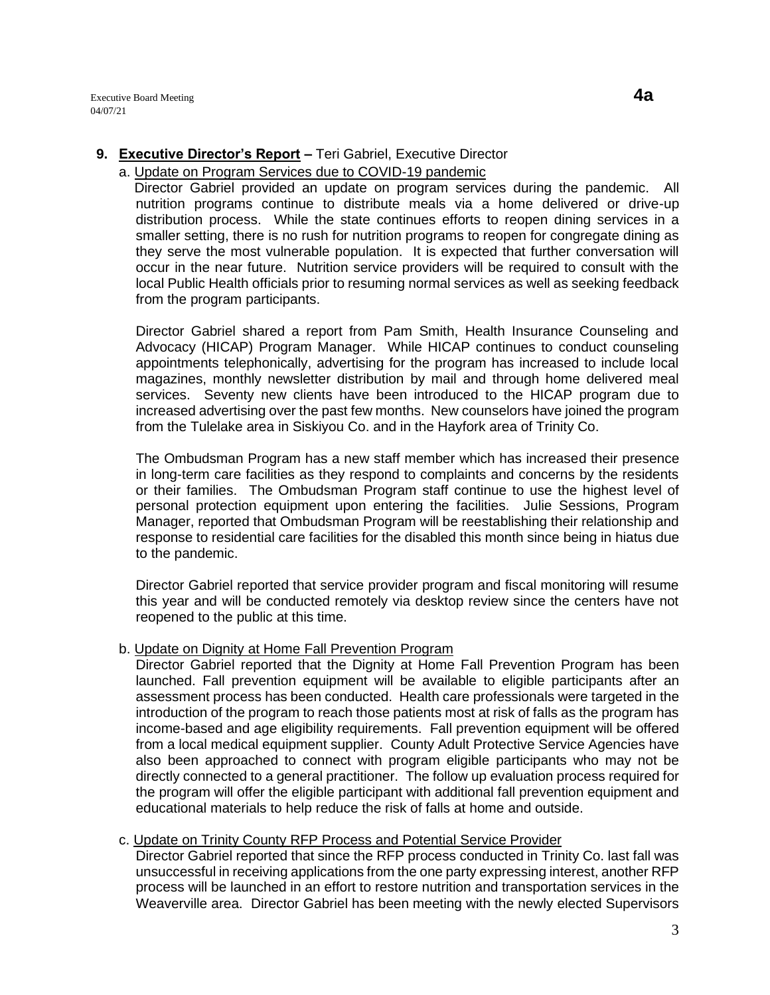## **9. Executive Director's Report –** Teri Gabriel, Executive Director

#### a. Update on Program Services due to COVID-19 pandemic

 Director Gabriel provided an update on program services during the pandemic. All nutrition programs continue to distribute meals via a home delivered or drive-up distribution process. While the state continues efforts to reopen dining services in a smaller setting, there is no rush for nutrition programs to reopen for congregate dining as they serve the most vulnerable population. It is expected that further conversation will occur in the near future. Nutrition service providers will be required to consult with the local Public Health officials prior to resuming normal services as well as seeking feedback from the program participants.

Director Gabriel shared a report from Pam Smith, Health Insurance Counseling and Advocacy (HICAP) Program Manager. While HICAP continues to conduct counseling appointments telephonically, advertising for the program has increased to include local magazines, monthly newsletter distribution by mail and through home delivered meal services. Seventy new clients have been introduced to the HICAP program due to increased advertising over the past few months. New counselors have joined the program from the Tulelake area in Siskiyou Co. and in the Hayfork area of Trinity Co.

The Ombudsman Program has a new staff member which has increased their presence in long-term care facilities as they respond to complaints and concerns by the residents or their families. The Ombudsman Program staff continue to use the highest level of personal protection equipment upon entering the facilities. Julie Sessions, Program Manager, reported that Ombudsman Program will be reestablishing their relationship and response to residential care facilities for the disabled this month since being in hiatus due to the pandemic.

Director Gabriel reported that service provider program and fiscal monitoring will resume this year and will be conducted remotely via desktop review since the centers have not reopened to the public at this time.

#### b. Update on Dignity at Home Fall Prevention Program

Director Gabriel reported that the Dignity at Home Fall Prevention Program has been launched. Fall prevention equipment will be available to eligible participants after an assessment process has been conducted. Health care professionals were targeted in the introduction of the program to reach those patients most at risk of falls as the program has income-based and age eligibility requirements. Fall prevention equipment will be offered from a local medical equipment supplier. County Adult Protective Service Agencies have also been approached to connect with program eligible participants who may not be directly connected to a general practitioner. The follow up evaluation process required for the program will offer the eligible participant with additional fall prevention equipment and educational materials to help reduce the risk of falls at home and outside.

# c. Update on Trinity County RFP Process and Potential Service Provider

Director Gabriel reported that since the RFP process conducted in Trinity Co. last fall was unsuccessful in receiving applications from the one party expressing interest, another RFP process will be launched in an effort to restore nutrition and transportation services in the Weaverville area. Director Gabriel has been meeting with the newly elected Supervisors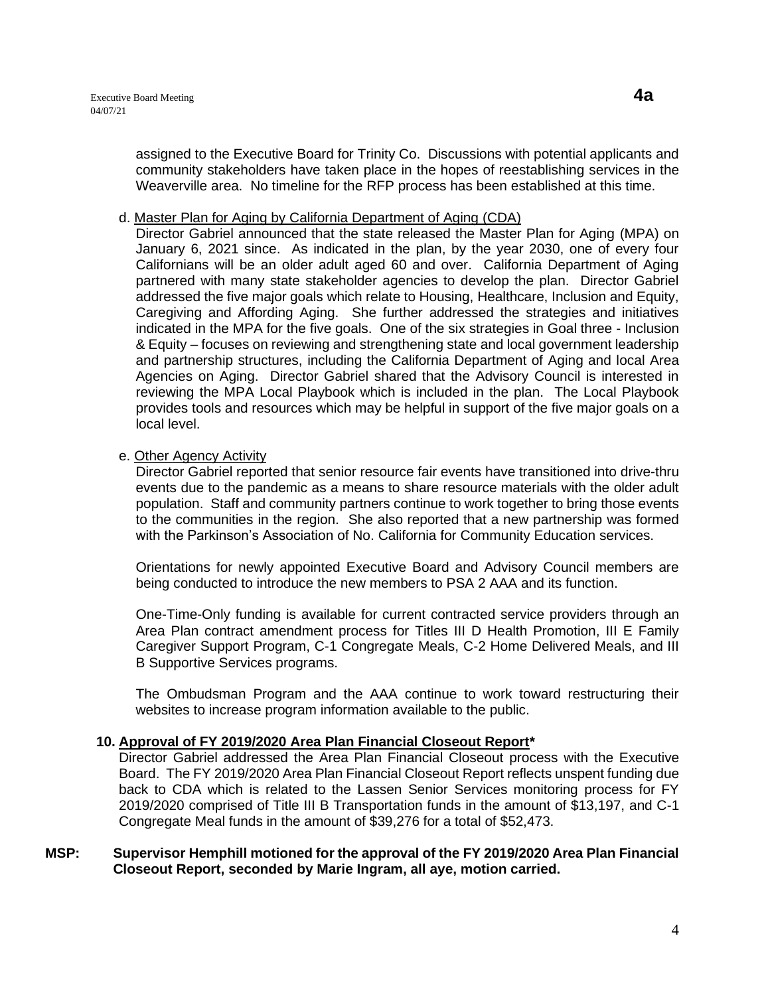assigned to the Executive Board for Trinity Co. Discussions with potential applicants and community stakeholders have taken place in the hopes of reestablishing services in the Weaverville area. No timeline for the RFP process has been established at this time.

#### d. Master Plan for Aging by California Department of Aging (CDA)

Director Gabriel announced that the state released the Master Plan for Aging (MPA) on January 6, 2021 since. As indicated in the plan, by the year 2030, one of every four Californians will be an older adult aged 60 and over. California Department of Aging partnered with many state stakeholder agencies to develop the plan. Director Gabriel addressed the five major goals which relate to Housing, Healthcare, Inclusion and Equity, Caregiving and Affording Aging. She further addressed the strategies and initiatives indicated in the MPA for the five goals. One of the six strategies in Goal three - Inclusion & Equity – focuses on reviewing and strengthening state and local government leadership and partnership structures, including the California Department of Aging and local Area Agencies on Aging. Director Gabriel shared that the Advisory Council is interested in reviewing the MPA Local Playbook which is included in the plan. The Local Playbook provides tools and resources which may be helpful in support of the five major goals on a local level.

# e. Other Agency Activity

Director Gabriel reported that senior resource fair events have transitioned into drive-thru events due to the pandemic as a means to share resource materials with the older adult population. Staff and community partners continue to work together to bring those events to the communities in the region. She also reported that a new partnership was formed with the Parkinson's Association of No. California for Community Education services.

Orientations for newly appointed Executive Board and Advisory Council members are being conducted to introduce the new members to PSA 2 AAA and its function.

One-Time-Only funding is available for current contracted service providers through an Area Plan contract amendment process for Titles III D Health Promotion, III E Family Caregiver Support Program, C-1 Congregate Meals, C-2 Home Delivered Meals, and III B Supportive Services programs.

The Ombudsman Program and the AAA continue to work toward restructuring their websites to increase program information available to the public.

## **10. Approval of FY 2019/2020 Area Plan Financial Closeout Report\***

Director Gabriel addressed the Area Plan Financial Closeout process with the Executive Board. The FY 2019/2020 Area Plan Financial Closeout Report reflects unspent funding due back to CDA which is related to the Lassen Senior Services monitoring process for FY 2019/2020 comprised of Title III B Transportation funds in the amount of \$13,197, and C-1 Congregate Meal funds in the amount of \$39,276 for a total of \$52,473.

#### **MSP: Supervisor Hemphill motioned for the approval of the FY 2019/2020 Area Plan Financial Closeout Report, seconded by Marie Ingram, all aye, motion carried.**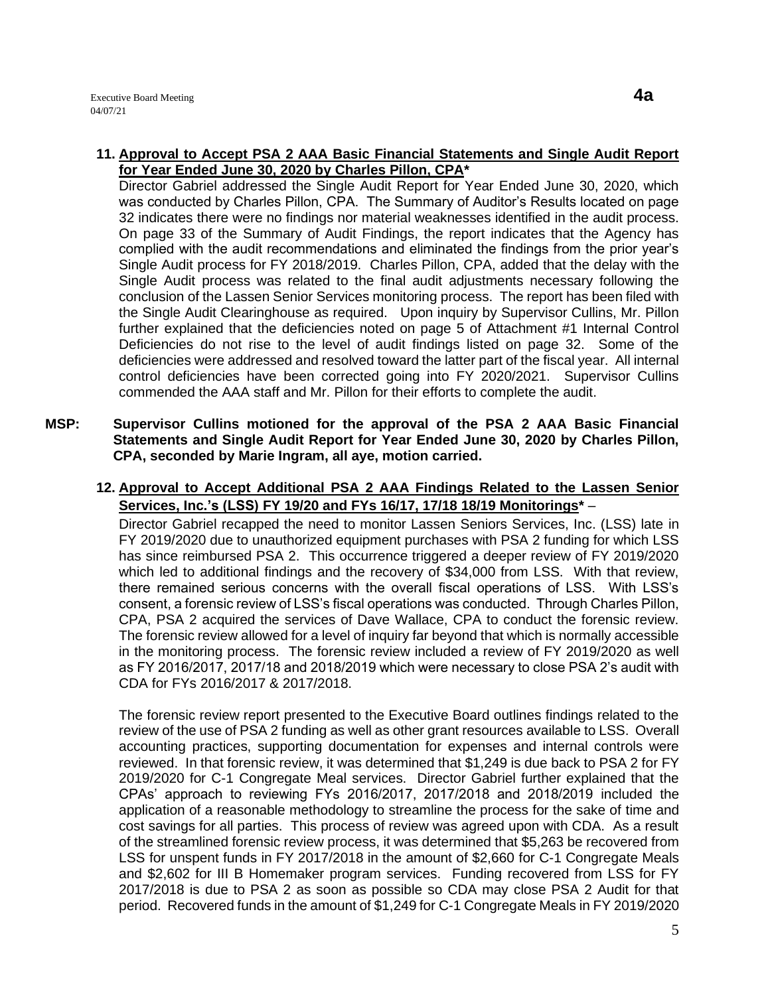Director Gabriel addressed the Single Audit Report for Year Ended June 30, 2020, which was conducted by Charles Pillon, CPA. The Summary of Auditor's Results located on page 32 indicates there were no findings nor material weaknesses identified in the audit process. On page 33 of the Summary of Audit Findings, the report indicates that the Agency has complied with the audit recommendations and eliminated the findings from the prior year's Single Audit process for FY 2018/2019. Charles Pillon, CPA, added that the delay with the Single Audit process was related to the final audit adjustments necessary following the conclusion of the Lassen Senior Services monitoring process. The report has been filed with the Single Audit Clearinghouse as required. Upon inquiry by Supervisor Cullins, Mr. Pillon further explained that the deficiencies noted on page 5 of Attachment #1 Internal Control Deficiencies do not rise to the level of audit findings listed on page 32. Some of the deficiencies were addressed and resolved toward the latter part of the fiscal year. All internal control deficiencies have been corrected going into FY 2020/2021. Supervisor Cullins commended the AAA staff and Mr. Pillon for their efforts to complete the audit.

- **MSP: Supervisor Cullins motioned for the approval of the PSA 2 AAA Basic Financial Statements and Single Audit Report for Year Ended June 30, 2020 by Charles Pillon, CPA, seconded by Marie Ingram, all aye, motion carried.** 
	- **12. Approval to Accept Additional PSA 2 AAA Findings Related to the Lassen Senior Services, Inc.'s (LSS) FY 19/20 and FYs 16/17, 17/18 18/19 Monitorings\*** –

Director Gabriel recapped the need to monitor Lassen Seniors Services, Inc. (LSS) late in FY 2019/2020 due to unauthorized equipment purchases with PSA 2 funding for which LSS has since reimbursed PSA 2. This occurrence triggered a deeper review of FY 2019/2020 which led to additional findings and the recovery of \$34,000 from LSS. With that review, there remained serious concerns with the overall fiscal operations of LSS. With LSS's consent, a forensic review of LSS's fiscal operations was conducted. Through Charles Pillon, CPA, PSA 2 acquired the services of Dave Wallace, CPA to conduct the forensic review. The forensic review allowed for a level of inquiry far beyond that which is normally accessible in the monitoring process. The forensic review included a review of FY 2019/2020 as well as FY 2016/2017, 2017/18 and 2018/2019 which were necessary to close PSA 2's audit with CDA for FYs 2016/2017 & 2017/2018.

The forensic review report presented to the Executive Board outlines findings related to the review of the use of PSA 2 funding as well as other grant resources available to LSS. Overall accounting practices, supporting documentation for expenses and internal controls were reviewed. In that forensic review, it was determined that \$1,249 is due back to PSA 2 for FY 2019/2020 for C-1 Congregate Meal services. Director Gabriel further explained that the CPAs' approach to reviewing FYs 2016/2017, 2017/2018 and 2018/2019 included the application of a reasonable methodology to streamline the process for the sake of time and cost savings for all parties. This process of review was agreed upon with CDA. As a result of the streamlined forensic review process, it was determined that \$5,263 be recovered from LSS for unspent funds in FY 2017/2018 in the amount of \$2,660 for C-1 Congregate Meals and \$2,602 for III B Homemaker program services. Funding recovered from LSS for FY 2017/2018 is due to PSA 2 as soon as possible so CDA may close PSA 2 Audit for that period. Recovered funds in the amount of \$1,249 for C-1 Congregate Meals in FY 2019/2020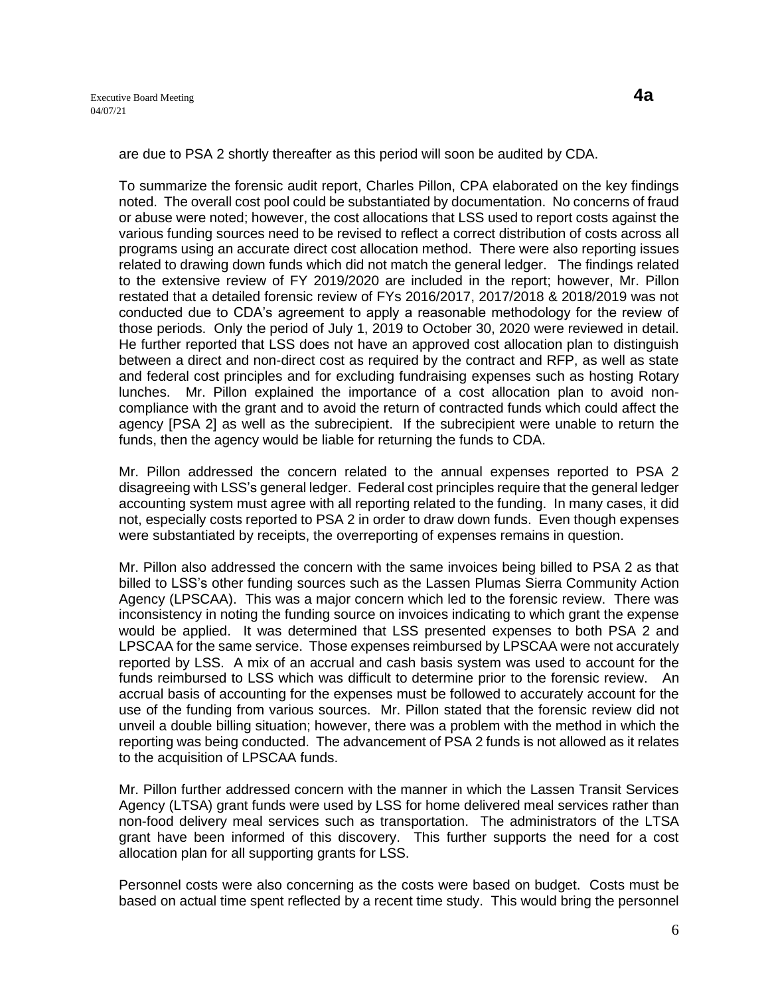are due to PSA 2 shortly thereafter as this period will soon be audited by CDA.

To summarize the forensic audit report, Charles Pillon, CPA elaborated on the key findings noted. The overall cost pool could be substantiated by documentation. No concerns of fraud or abuse were noted; however, the cost allocations that LSS used to report costs against the various funding sources need to be revised to reflect a correct distribution of costs across all programs using an accurate direct cost allocation method. There were also reporting issues related to drawing down funds which did not match the general ledger. The findings related to the extensive review of FY 2019/2020 are included in the report; however, Mr. Pillon restated that a detailed forensic review of FYs 2016/2017, 2017/2018 & 2018/2019 was not conducted due to CDA's agreement to apply a reasonable methodology for the review of those periods. Only the period of July 1, 2019 to October 30, 2020 were reviewed in detail. He further reported that LSS does not have an approved cost allocation plan to distinguish between a direct and non-direct cost as required by the contract and RFP, as well as state and federal cost principles and for excluding fundraising expenses such as hosting Rotary lunches. Mr. Pillon explained the importance of a cost allocation plan to avoid noncompliance with the grant and to avoid the return of contracted funds which could affect the agency [PSA 2] as well as the subrecipient. If the subrecipient were unable to return the funds, then the agency would be liable for returning the funds to CDA.

Mr. Pillon addressed the concern related to the annual expenses reported to PSA 2 disagreeing with LSS's general ledger. Federal cost principles require that the general ledger accounting system must agree with all reporting related to the funding. In many cases, it did not, especially costs reported to PSA 2 in order to draw down funds. Even though expenses were substantiated by receipts, the overreporting of expenses remains in question.

Mr. Pillon also addressed the concern with the same invoices being billed to PSA 2 as that billed to LSS's other funding sources such as the Lassen Plumas Sierra Community Action Agency (LPSCAA). This was a major concern which led to the forensic review. There was inconsistency in noting the funding source on invoices indicating to which grant the expense would be applied. It was determined that LSS presented expenses to both PSA 2 and LPSCAA for the same service. Those expenses reimbursed by LPSCAA were not accurately reported by LSS. A mix of an accrual and cash basis system was used to account for the funds reimbursed to LSS which was difficult to determine prior to the forensic review. An accrual basis of accounting for the expenses must be followed to accurately account for the use of the funding from various sources. Mr. Pillon stated that the forensic review did not unveil a double billing situation; however, there was a problem with the method in which the reporting was being conducted. The advancement of PSA 2 funds is not allowed as it relates to the acquisition of LPSCAA funds.

Mr. Pillon further addressed concern with the manner in which the Lassen Transit Services Agency (LTSA) grant funds were used by LSS for home delivered meal services rather than non-food delivery meal services such as transportation. The administrators of the LTSA grant have been informed of this discovery. This further supports the need for a cost allocation plan for all supporting grants for LSS.

Personnel costs were also concerning as the costs were based on budget. Costs must be based on actual time spent reflected by a recent time study. This would bring the personnel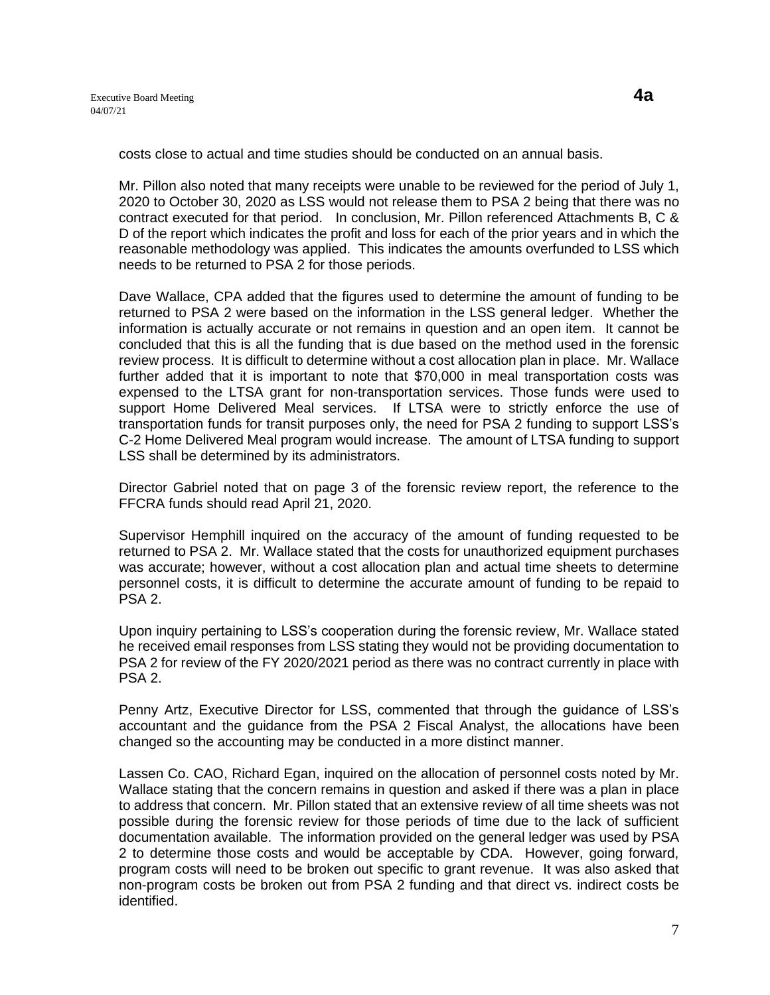costs close to actual and time studies should be conducted on an annual basis.

Mr. Pillon also noted that many receipts were unable to be reviewed for the period of July 1, 2020 to October 30, 2020 as LSS would not release them to PSA 2 being that there was no contract executed for that period. In conclusion, Mr. Pillon referenced Attachments B, C & D of the report which indicates the profit and loss for each of the prior years and in which the reasonable methodology was applied. This indicates the amounts overfunded to LSS which needs to be returned to PSA 2 for those periods.

Dave Wallace, CPA added that the figures used to determine the amount of funding to be returned to PSA 2 were based on the information in the LSS general ledger. Whether the information is actually accurate or not remains in question and an open item. It cannot be concluded that this is all the funding that is due based on the method used in the forensic review process. It is difficult to determine without a cost allocation plan in place. Mr. Wallace further added that it is important to note that \$70,000 in meal transportation costs was expensed to the LTSA grant for non-transportation services. Those funds were used to support Home Delivered Meal services. If LTSA were to strictly enforce the use of transportation funds for transit purposes only, the need for PSA 2 funding to support LSS's C-2 Home Delivered Meal program would increase. The amount of LTSA funding to support LSS shall be determined by its administrators.

Director Gabriel noted that on page 3 of the forensic review report, the reference to the FFCRA funds should read April 21, 2020.

Supervisor Hemphill inquired on the accuracy of the amount of funding requested to be returned to PSA 2. Mr. Wallace stated that the costs for unauthorized equipment purchases was accurate; however, without a cost allocation plan and actual time sheets to determine personnel costs, it is difficult to determine the accurate amount of funding to be repaid to PSA 2.

Upon inquiry pertaining to LSS's cooperation during the forensic review, Mr. Wallace stated he received email responses from LSS stating they would not be providing documentation to PSA 2 for review of the FY 2020/2021 period as there was no contract currently in place with PSA 2.

Penny Artz, Executive Director for LSS, commented that through the guidance of LSS's accountant and the guidance from the PSA 2 Fiscal Analyst, the allocations have been changed so the accounting may be conducted in a more distinct manner.

Lassen Co. CAO, Richard Egan, inquired on the allocation of personnel costs noted by Mr. Wallace stating that the concern remains in question and asked if there was a plan in place to address that concern. Mr. Pillon stated that an extensive review of all time sheets was not possible during the forensic review for those periods of time due to the lack of sufficient documentation available. The information provided on the general ledger was used by PSA 2 to determine those costs and would be acceptable by CDA. However, going forward, program costs will need to be broken out specific to grant revenue. It was also asked that non-program costs be broken out from PSA 2 funding and that direct vs. indirect costs be identified.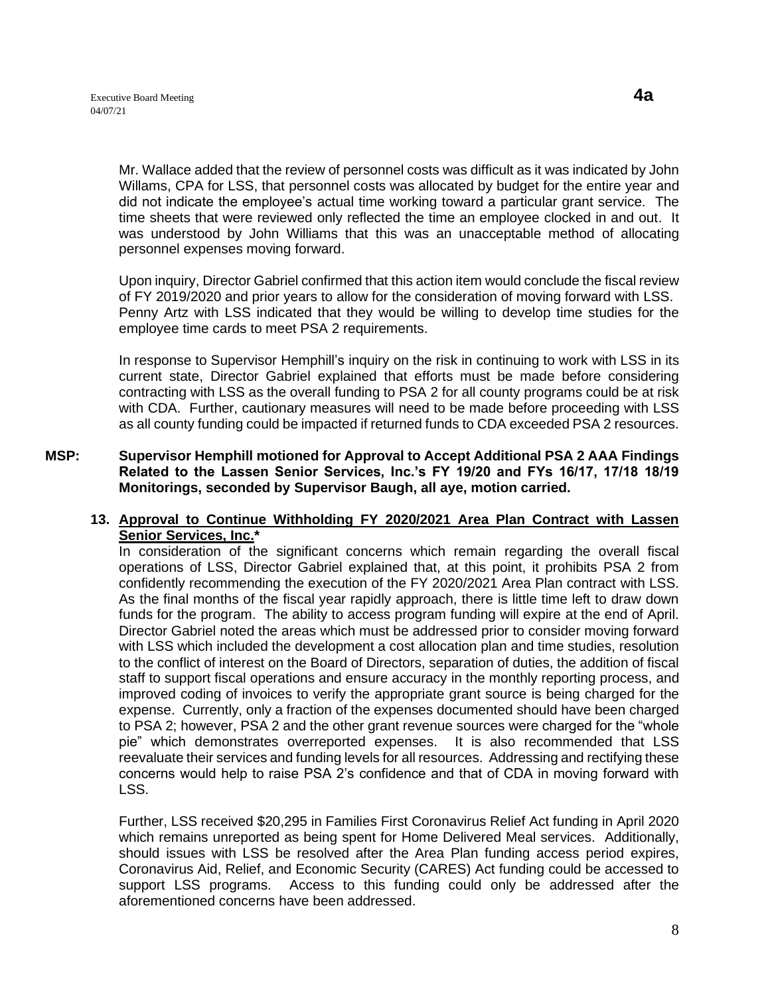Mr. Wallace added that the review of personnel costs was difficult as it was indicated by John Willams, CPA for LSS, that personnel costs was allocated by budget for the entire year and did not indicate the employee's actual time working toward a particular grant service. The time sheets that were reviewed only reflected the time an employee clocked in and out. It was understood by John Williams that this was an unacceptable method of allocating personnel expenses moving forward.

Upon inquiry, Director Gabriel confirmed that this action item would conclude the fiscal review of FY 2019/2020 and prior years to allow for the consideration of moving forward with LSS. Penny Artz with LSS indicated that they would be willing to develop time studies for the employee time cards to meet PSA 2 requirements.

In response to Supervisor Hemphill's inquiry on the risk in continuing to work with LSS in its current state, Director Gabriel explained that efforts must be made before considering contracting with LSS as the overall funding to PSA 2 for all county programs could be at risk with CDA. Further, cautionary measures will need to be made before proceeding with LSS as all county funding could be impacted if returned funds to CDA exceeded PSA 2 resources.

**MSP: Supervisor Hemphill motioned for Approval to Accept Additional PSA 2 AAA Findings Related to the Lassen Senior Services, Inc.'s FY 19/20 and FYs 16/17, 17/18 18/19 Monitorings, seconded by Supervisor Baugh, all aye, motion carried.** 

## **13. Approval to Continue Withholding FY 2020/2021 Area Plan Contract with Lassen Senior Services, Inc.\***

In consideration of the significant concerns which remain regarding the overall fiscal operations of LSS, Director Gabriel explained that, at this point, it prohibits PSA 2 from confidently recommending the execution of the FY 2020/2021 Area Plan contract with LSS. As the final months of the fiscal year rapidly approach, there is little time left to draw down funds for the program. The ability to access program funding will expire at the end of April. Director Gabriel noted the areas which must be addressed prior to consider moving forward with LSS which included the development a cost allocation plan and time studies, resolution to the conflict of interest on the Board of Directors, separation of duties, the addition of fiscal staff to support fiscal operations and ensure accuracy in the monthly reporting process, and improved coding of invoices to verify the appropriate grant source is being charged for the expense. Currently, only a fraction of the expenses documented should have been charged to PSA 2; however, PSA 2 and the other grant revenue sources were charged for the "whole pie" which demonstrates overreported expenses. It is also recommended that LSS reevaluate their services and funding levels for all resources. Addressing and rectifying these concerns would help to raise PSA 2's confidence and that of CDA in moving forward with LSS.

Further, LSS received \$20,295 in Families First Coronavirus Relief Act funding in April 2020 which remains unreported as being spent for Home Delivered Meal services. Additionally, should issues with LSS be resolved after the Area Plan funding access period expires, Coronavirus Aid, Relief, and Economic Security (CARES) Act funding could be accessed to support LSS programs. Access to this funding could only be addressed after the aforementioned concerns have been addressed.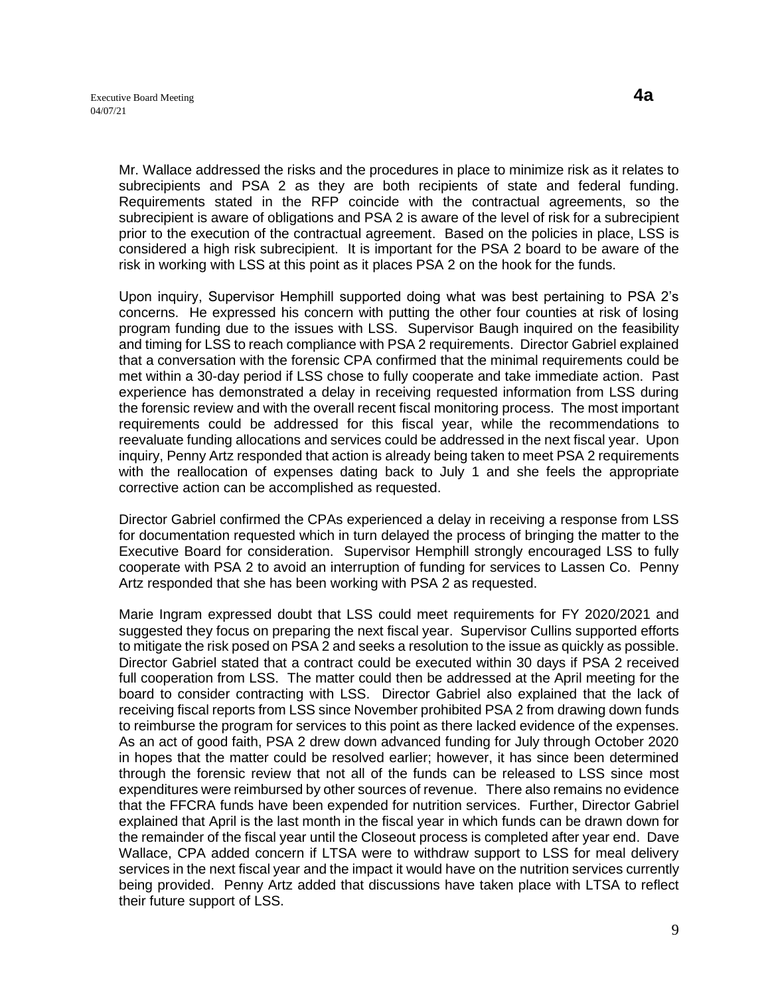Mr. Wallace addressed the risks and the procedures in place to minimize risk as it relates to subrecipients and PSA 2 as they are both recipients of state and federal funding. Requirements stated in the RFP coincide with the contractual agreements, so the subrecipient is aware of obligations and PSA 2 is aware of the level of risk for a subrecipient prior to the execution of the contractual agreement. Based on the policies in place, LSS is considered a high risk subrecipient. It is important for the PSA 2 board to be aware of the risk in working with LSS at this point as it places PSA 2 on the hook for the funds.

Upon inquiry, Supervisor Hemphill supported doing what was best pertaining to PSA 2's concerns. He expressed his concern with putting the other four counties at risk of losing program funding due to the issues with LSS. Supervisor Baugh inquired on the feasibility and timing for LSS to reach compliance with PSA 2 requirements. Director Gabriel explained that a conversation with the forensic CPA confirmed that the minimal requirements could be met within a 30-day period if LSS chose to fully cooperate and take immediate action. Past experience has demonstrated a delay in receiving requested information from LSS during the forensic review and with the overall recent fiscal monitoring process. The most important requirements could be addressed for this fiscal year, while the recommendations to reevaluate funding allocations and services could be addressed in the next fiscal year. Upon inquiry, Penny Artz responded that action is already being taken to meet PSA 2 requirements with the reallocation of expenses dating back to July 1 and she feels the appropriate corrective action can be accomplished as requested.

Director Gabriel confirmed the CPAs experienced a delay in receiving a response from LSS for documentation requested which in turn delayed the process of bringing the matter to the Executive Board for consideration. Supervisor Hemphill strongly encouraged LSS to fully cooperate with PSA 2 to avoid an interruption of funding for services to Lassen Co. Penny Artz responded that she has been working with PSA 2 as requested.

Marie Ingram expressed doubt that LSS could meet requirements for FY 2020/2021 and suggested they focus on preparing the next fiscal year. Supervisor Cullins supported efforts to mitigate the risk posed on PSA 2 and seeks a resolution to the issue as quickly as possible. Director Gabriel stated that a contract could be executed within 30 days if PSA 2 received full cooperation from LSS. The matter could then be addressed at the April meeting for the board to consider contracting with LSS. Director Gabriel also explained that the lack of receiving fiscal reports from LSS since November prohibited PSA 2 from drawing down funds to reimburse the program for services to this point as there lacked evidence of the expenses. As an act of good faith, PSA 2 drew down advanced funding for July through October 2020 in hopes that the matter could be resolved earlier; however, it has since been determined through the forensic review that not all of the funds can be released to LSS since most expenditures were reimbursed by other sources of revenue. There also remains no evidence that the FFCRA funds have been expended for nutrition services. Further, Director Gabriel explained that April is the last month in the fiscal year in which funds can be drawn down for the remainder of the fiscal year until the Closeout process is completed after year end. Dave Wallace, CPA added concern if LTSA were to withdraw support to LSS for meal delivery services in the next fiscal year and the impact it would have on the nutrition services currently being provided. Penny Artz added that discussions have taken place with LTSA to reflect their future support of LSS.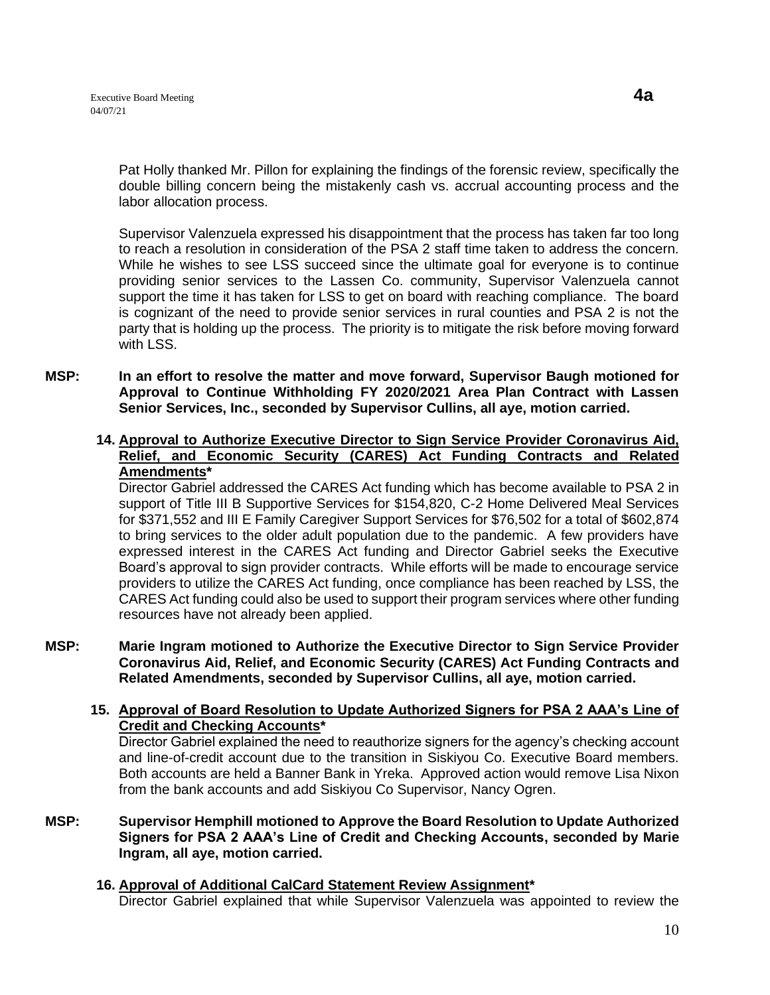Pat Holly thanked Mr. Pillon for explaining the findings of the forensic review, specifically the double billing concern being the mistakenly cash vs. accrual accounting process and the labor allocation process.

Supervisor Valenzuela expressed his disappointment that the process has taken far too long to reach a resolution in consideration of the PSA 2 staff time taken to address the concern. While he wishes to see LSS succeed since the ultimate goal for everyone is to continue providing senior services to the Lassen Co. community, Supervisor Valenzuela cannot support the time it has taken for LSS to get on board with reaching compliance. The board is cognizant of the need to provide senior services in rural counties and PSA 2 is not the party that is holding up the process. The priority is to mitigate the risk before moving forward with LSS.

**MSP: In an effort to resolve the matter and move forward, Supervisor Baugh motioned for Approval to Continue Withholding FY 2020/2021 Area Plan Contract with Lassen Senior Services, Inc., seconded by Supervisor Cullins, all aye, motion carried.** 

#### **14. Approval to Authorize Executive Director to Sign Service Provider Coronavirus Aid, Relief, and Economic Security (CARES) Act Funding Contracts and Related Amendments\***

Director Gabriel addressed the CARES Act funding which has become available to PSA 2 in support of Title III B Supportive Services for \$154,820, C-2 Home Delivered Meal Services for \$371,552 and III E Family Caregiver Support Services for \$76,502 for a total of \$602,874 to bring services to the older adult population due to the pandemic. A few providers have expressed interest in the CARES Act funding and Director Gabriel seeks the Executive Board's approval to sign provider contracts. While efforts will be made to encourage service providers to utilize the CARES Act funding, once compliance has been reached by LSS, the CARES Act funding could also be used to support their program services where other funding resources have not already been applied.

**MSP: Marie Ingram motioned to Authorize the Executive Director to Sign Service Provider Coronavirus Aid, Relief, and Economic Security (CARES) Act Funding Contracts and Related Amendments, seconded by Supervisor Cullins, all aye, motion carried.** 

#### **15. Approval of Board Resolution to Update Authorized Signers for PSA 2 AAA's Line of Credit and Checking Accounts\***

Director Gabriel explained the need to reauthorize signers for the agency's checking account and line-of-credit account due to the transition in Siskiyou Co. Executive Board members. Both accounts are held a Banner Bank in Yreka. Approved action would remove Lisa Nixon from the bank accounts and add Siskiyou Co Supervisor, Nancy Ogren.

- **MSP: Supervisor Hemphill motioned to Approve the Board Resolution to Update Authorized Signers for PSA 2 AAA's Line of Credit and Checking Accounts, seconded by Marie Ingram, all aye, motion carried.** 
	- **16. Approval of Additional CalCard Statement Review Assignment\*** Director Gabriel explained that while Supervisor Valenzuela was appointed to review the